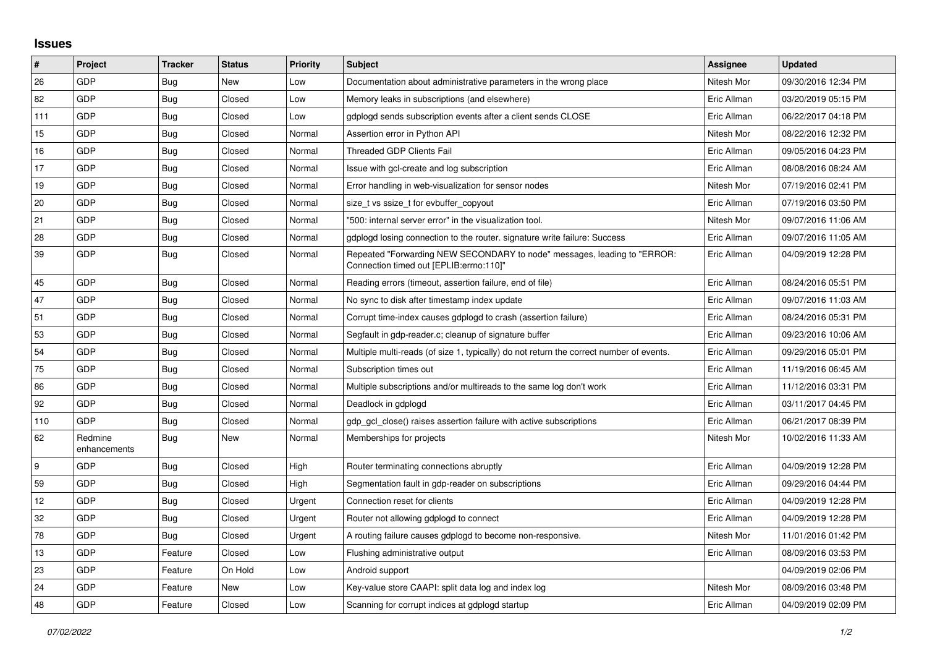## **Issues**

| $\pmb{\#}$ | Project                 | <b>Tracker</b> | <b>Status</b> | <b>Priority</b> | <b>Subject</b>                                                                                                      | Assignee    | <b>Updated</b>      |
|------------|-------------------------|----------------|---------------|-----------------|---------------------------------------------------------------------------------------------------------------------|-------------|---------------------|
| 26         | GDP                     | Bug            | New           | Low             | Documentation about administrative parameters in the wrong place                                                    | Nitesh Mor  | 09/30/2016 12:34 PM |
| 82         | GDP                     | <b>Bug</b>     | Closed        | Low             | Memory leaks in subscriptions (and elsewhere)                                                                       | Eric Allman | 03/20/2019 05:15 PM |
| 111        | GDP                     | Bug            | Closed        | Low             | gdplogd sends subscription events after a client sends CLOSE                                                        | Eric Allman | 06/22/2017 04:18 PM |
| 15         | GDP                     | <b>Bug</b>     | Closed        | Normal          | Assertion error in Python API                                                                                       | Nitesh Mor  | 08/22/2016 12:32 PM |
| 16         | GDP                     | Bug            | Closed        | Normal          | <b>Threaded GDP Clients Fail</b>                                                                                    | Eric Allman | 09/05/2016 04:23 PM |
| 17         | GDP                     | Bug            | Closed        | Normal          | Issue with gcl-create and log subscription                                                                          | Eric Allman | 08/08/2016 08:24 AM |
| 19         | GDP                     | Bug            | Closed        | Normal          | Error handling in web-visualization for sensor nodes                                                                | Nitesh Mor  | 07/19/2016 02:41 PM |
| 20         | GDP                     | Bug            | Closed        | Normal          | size t vs ssize t for evbuffer copyout                                                                              | Eric Allman | 07/19/2016 03:50 PM |
| 21         | GDP                     | Bug            | Closed        | Normal          | "500: internal server error" in the visualization tool.                                                             | Nitesh Mor  | 09/07/2016 11:06 AM |
| 28         | GDP                     | <b>Bug</b>     | Closed        | Normal          | gdplogd losing connection to the router. signature write failure: Success                                           | Eric Allman | 09/07/2016 11:05 AM |
| 39         | GDP                     | Bug            | Closed        | Normal          | Repeated "Forwarding NEW SECONDARY to node" messages, leading to "ERROR:<br>Connection timed out [EPLIB:errno:110]" | Eric Allman | 04/09/2019 12:28 PM |
| 45         | GDP                     | <b>Bug</b>     | Closed        | Normal          | Reading errors (timeout, assertion failure, end of file)                                                            | Eric Allman | 08/24/2016 05:51 PM |
| 47         | GDP                     | Bug            | Closed        | Normal          | No sync to disk after timestamp index update                                                                        | Eric Allman | 09/07/2016 11:03 AM |
| 51         | <b>GDP</b>              | <b>Bug</b>     | Closed        | Normal          | Corrupt time-index causes gdplogd to crash (assertion failure)                                                      | Eric Allman | 08/24/2016 05:31 PM |
| 53         | GDP                     | Bug            | Closed        | Normal          | Segfault in gdp-reader.c; cleanup of signature buffer                                                               | Eric Allman | 09/23/2016 10:06 AM |
| 54         | GDP                     | Bug            | Closed        | Normal          | Multiple multi-reads (of size 1, typically) do not return the correct number of events.                             | Eric Allman | 09/29/2016 05:01 PM |
| 75         | GDP                     | Bug            | Closed        | Normal          | Subscription times out                                                                                              | Eric Allman | 11/19/2016 06:45 AM |
| 86         | GDP                     | Bug            | Closed        | Normal          | Multiple subscriptions and/or multireads to the same log don't work                                                 | Eric Allman | 11/12/2016 03:31 PM |
| 92         | GDP                     | Bug            | Closed        | Normal          | Deadlock in gdplogd                                                                                                 | Eric Allman | 03/11/2017 04:45 PM |
| 110        | <b>GDP</b>              | <b>Bug</b>     | Closed        | Normal          | gdp_gcl_close() raises assertion failure with active subscriptions                                                  | Eric Allman | 06/21/2017 08:39 PM |
| 62         | Redmine<br>enhancements | Bug            | New           | Normal          | Memberships for projects                                                                                            | Nitesh Mor  | 10/02/2016 11:33 AM |
| 9          | <b>GDP</b>              | <b>Bug</b>     | Closed        | High            | Router terminating connections abruptly                                                                             | Eric Allman | 04/09/2019 12:28 PM |
| 59         | GDP                     | <b>Bug</b>     | Closed        | High            | Segmentation fault in gdp-reader on subscriptions                                                                   | Eric Allman | 09/29/2016 04:44 PM |
| 12         | GDP                     | Bug            | Closed        | Urgent          | Connection reset for clients                                                                                        | Eric Allman | 04/09/2019 12:28 PM |
| 32         | GDP                     | Bug            | Closed        | Urgent          | Router not allowing gdplogd to connect                                                                              | Eric Allman | 04/09/2019 12:28 PM |
| 78         | GDP                     | <b>Bug</b>     | Closed        | Urgent          | A routing failure causes gdplogd to become non-responsive.                                                          | Nitesh Mor  | 11/01/2016 01:42 PM |
| 13         | GDP                     | Feature        | Closed        | Low             | Flushing administrative output                                                                                      | Eric Allman | 08/09/2016 03:53 PM |
| 23         | GDP                     | Feature        | On Hold       | Low             | Android support                                                                                                     |             | 04/09/2019 02:06 PM |
| 24         | GDP                     | Feature        | New           | Low             | Key-value store CAAPI: split data log and index log                                                                 | Nitesh Mor  | 08/09/2016 03:48 PM |
| 48         | GDP                     | Feature        | Closed        | Low             | Scanning for corrupt indices at gdplogd startup                                                                     | Eric Allman | 04/09/2019 02:09 PM |